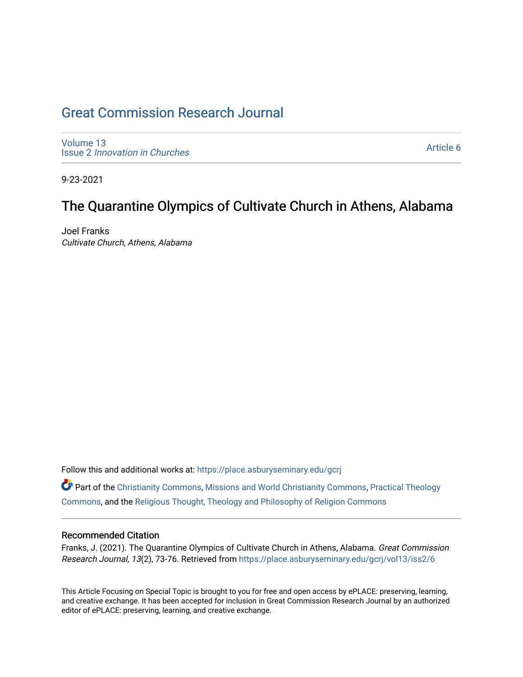# [Great Commission Research Journal](https://place.asburyseminary.edu/gcrj)

[Volume 13](https://place.asburyseminary.edu/gcrj/vol13) Issue 2 [Innovation in Churches](https://place.asburyseminary.edu/gcrj/vol13/iss2)

[Article 6](https://place.asburyseminary.edu/gcrj/vol13/iss2/6) 

9-23-2021

## The Quarantine Olympics of Cultivate Church in Athens, Alabama

Joel Franks Cultivate Church, Athens, Alabama

Follow this and additional works at: [https://place.asburyseminary.edu/gcrj](https://place.asburyseminary.edu/gcrj?utm_source=place.asburyseminary.edu%2Fgcrj%2Fvol13%2Fiss2%2F6&utm_medium=PDF&utm_campaign=PDFCoverPages) 

Part of the [Christianity Commons,](http://network.bepress.com/hgg/discipline/1181?utm_source=place.asburyseminary.edu%2Fgcrj%2Fvol13%2Fiss2%2F6&utm_medium=PDF&utm_campaign=PDFCoverPages) [Missions and World Christianity Commons](http://network.bepress.com/hgg/discipline/1187?utm_source=place.asburyseminary.edu%2Fgcrj%2Fvol13%2Fiss2%2F6&utm_medium=PDF&utm_campaign=PDFCoverPages), [Practical Theology](http://network.bepress.com/hgg/discipline/1186?utm_source=place.asburyseminary.edu%2Fgcrj%2Fvol13%2Fiss2%2F6&utm_medium=PDF&utm_campaign=PDFCoverPages)  [Commons](http://network.bepress.com/hgg/discipline/1186?utm_source=place.asburyseminary.edu%2Fgcrj%2Fvol13%2Fiss2%2F6&utm_medium=PDF&utm_campaign=PDFCoverPages), and the [Religious Thought, Theology and Philosophy of Religion Commons](http://network.bepress.com/hgg/discipline/544?utm_source=place.asburyseminary.edu%2Fgcrj%2Fvol13%2Fiss2%2F6&utm_medium=PDF&utm_campaign=PDFCoverPages) 

#### Recommended Citation

Franks, J. (2021). The Quarantine Olympics of Cultivate Church in Athens, Alabama. Great Commission Research Journal, 13(2), 73-76. Retrieved from [https://place.asburyseminary.edu/gcrj/vol13/iss2/6](https://place.asburyseminary.edu/gcrj/vol13/iss2/6?utm_source=place.asburyseminary.edu%2Fgcrj%2Fvol13%2Fiss2%2F6&utm_medium=PDF&utm_campaign=PDFCoverPages)

This Article Focusing on Special Topic is brought to you for free and open access by ePLACE: preserving, learning, and creative exchange. It has been accepted for inclusion in Great Commission Research Journal by an authorized editor of ePLACE: preserving, learning, and creative exchange.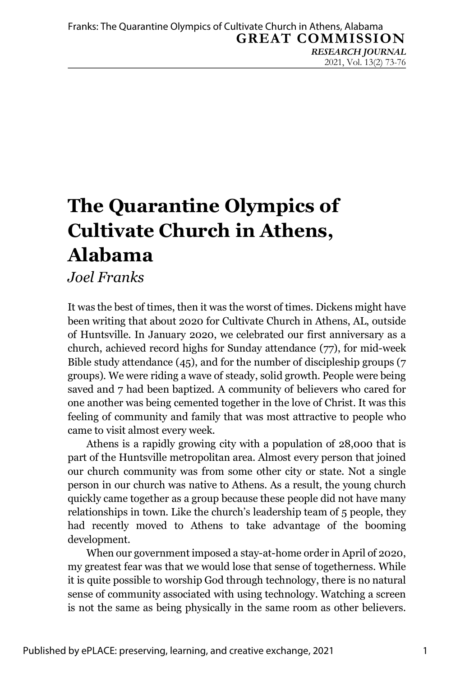# **The Quarantine Olympics of Cultivate Church in Athens, Alabama**

### *Joel Franks*

It was the best of times, then it was the worst of times. Dickens might have been writing that about 2020 for Cultivate Church in Athens, AL, outside of Huntsville. In January 2020, we celebrated our first anniversary as a church, achieved record highs for Sunday attendance (77), for mid-week Bible study attendance (45), and for the number of discipleship groups (7 groups). We were riding a wave of steady, solid growth. People were being saved and 7 had been baptized. A community of believers who cared for one another was being cemented together in the love of Christ. It was this feeling of community and family that was most attractive to people who came to visit almost every week.

Athens is a rapidly growing city with a population of 28,000 that is part of the Huntsville metropolitan area. Almost every person that joined our church community was from some other city or state. Not a single person in our church was native to Athens. As a result, the young church quickly came together as a group because these people did not have many relationships in town. Like the church's leadership team of 5 people, they had recently moved to Athens to take advantage of the booming development.

When our government imposed a stay-at-home order in April of 2020, my greatest fear was that we would lose that sense of togetherness. While it is quite possible to worship God through technology, there is no natural sense of community associated with using technology. Watching a screen is not the same as being physically in the same room as other believers.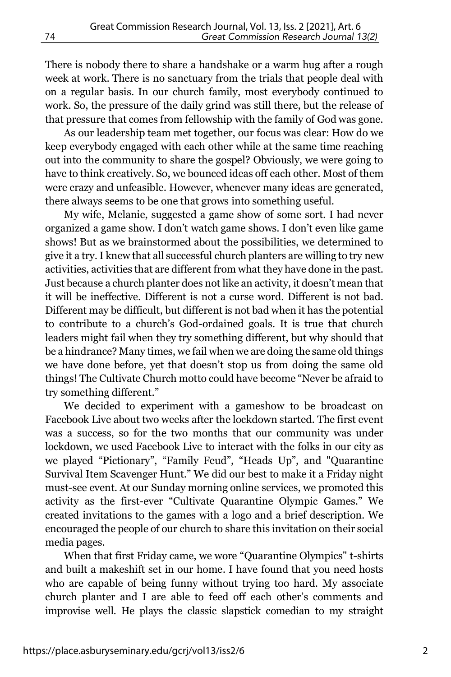There is nobody there to share a handshake or a warm hug after a rough week at work. There is no sanctuary from the trials that people deal with on a regular basis. In our church family, most everybody continued to work. So, the pressure of the daily grind was still there, but the release of that pressure that comes from fellowship with the family of God was gone.

As our leadership team met together, our focus was clear: How do we keep everybody engaged with each other while at the same time reaching out into the community to share the gospel? Obviously, we were going to have to think creatively. So, we bounced ideas off each other. Most of them were crazy and unfeasible. However, whenever many ideas are generated, there always seems to be one that grows into something useful.

My wife, Melanie, suggested a game show of some sort. I had never organized a game show. I don't watch game shows. I don't even like game shows! But as we brainstormed about the possibilities, we determined to give it a try.I knew that all successful church planters are willing to try new activities, activities that are different from what they have done in the past. Just because a church planter does not like an activity, it doesn't mean that it will be ineffective. Different is not a curse word. Different is not bad. Different may be difficult, but different is not bad when it has the potential to contribute to a church's God-ordained goals. It is true that church leaders might fail when they try something different, but why should that be a hindrance? Many times, we fail when we are doing the same old things we have done before, yet that doesn't stop us from doing the same old things! The Cultivate Church motto could have become "Never be afraid to try something different."

We decided to experiment with a gameshow to be broadcast on Facebook Live about two weeks after the lockdown started. The first event was a success, so for the two months that our community was under lockdown, we used Facebook Live to interact with the folks in our city as we played "Pictionary", "Family Feud", "Heads Up", and "Quarantine Survival Item Scavenger Hunt." We did our best to make it a Friday night must-see event. At our Sunday morning online services, we promoted this activity as the first-ever "Cultivate Quarantine Olympic Games." We created invitations to the games with a logo and a brief description. We encouraged the people of our church to share this invitation on their social media pages.

When that first Friday came, we wore "Quarantine Olympics" t-shirts and built a makeshift set in our home. I have found that you need hosts who are capable of being funny without trying too hard. My associate church planter and I are able to feed off each other's comments and improvise well. He plays the classic slapstick comedian to my straight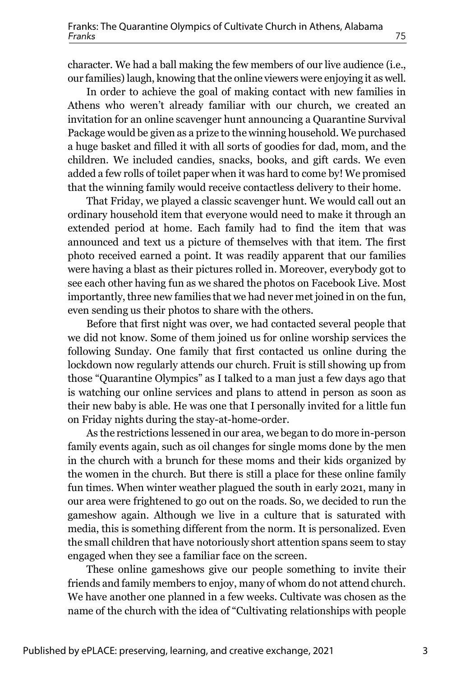character. We had a ball making the few members of our live audience (i.e., our families) laugh, knowing that the online viewers were enjoying it as well.

In order to achieve the goal of making contact with new families in Athens who weren't already familiar with our church, we created an invitation for an online scavenger hunt announcing a Quarantine Survival Package would be given as a prize to the winning household. We purchased a huge basket and filled it with all sorts of goodies for dad, mom, and the children. We included candies, snacks, books, and gift cards. We even added a few rolls of toilet paper when it was hard to come by! We promised that the winning family would receive contactless delivery to their home.

That Friday, we played a classic scavenger hunt. We would call out an ordinary household item that everyone would need to make it through an extended period at home. Each family had to find the item that was announced and text us a picture of themselves with that item. The first photo received earned a point. It was readily apparent that our families were having a blast as their pictures rolled in. Moreover, everybody got to see each other having fun as we shared the photos on Facebook Live. Most importantly, three new families that we had never met joined in on the fun, even sending us their photos to share with the others.

Before that first night was over, we had contacted several people that we did not know. Some of them joined us for online worship services the following Sunday. One family that first contacted us online during the lockdown now regularly attends our church. Fruit is still showing up from those "Quarantine Olympics" as I talked to a man just a few days ago that is watching our online services and plans to attend in person as soon as their new baby is able. He was one that I personally invited for a little fun on Friday nights during the stay-at-home-order.

As the restrictions lessened in our area, we began to do more in-person family events again, such as oil changes for single moms done by the men in the church with a brunch for these moms and their kids organized by the women in the church. But there is still a place for these online family fun times. When winter weather plagued the south in early 2021, many in our area were frightened to go out on the roads. So, we decided to run the gameshow again. Although we live in a culture that is saturated with media, this is something different from the norm. It is personalized. Even the small children that have notoriously short attention spans seem to stay engaged when they see a familiar face on the screen.

These online gameshows give our people something to invite their friends and family members to enjoy, many of whom do not attend church. We have another one planned in a few weeks. Cultivate was chosen as the name of the church with the idea of "Cultivating relationships with people